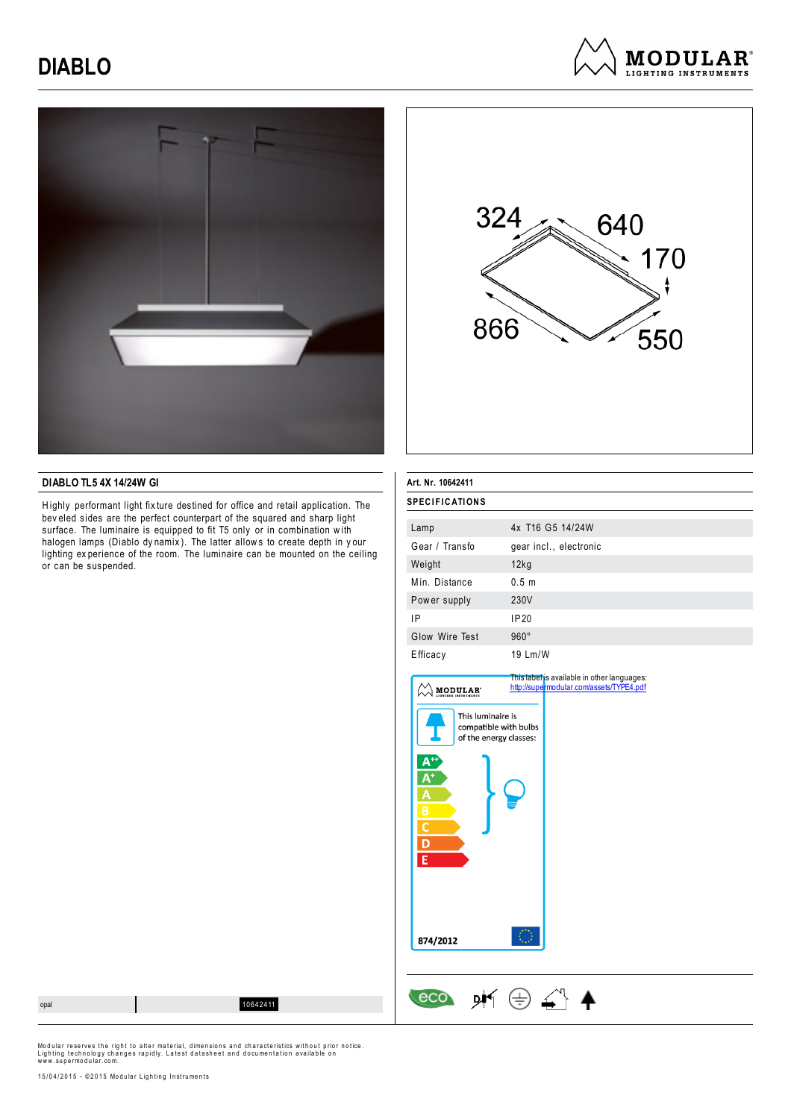# **DIABLO**







### **DIABLO TL5 4X 14/24W GI**

Highly performant light fix ture destined for office and retail application. The bev eled sides are the perfect counterpart of the squared and sharp light surface. The luminaire is equipped to fit T5 only or in combination with halogen lamps (Diablo dy namix ). The latter allow s to create depth in y our lighting ex perience of the room. The luminaire can be mounted on the ceiling or can be suspended.

| Art. Nr. 10642411     |                        |  |
|-----------------------|------------------------|--|
| <b>SPECIFICATIONS</b> |                        |  |
| Lamp                  | 4x T16 G5 14/24W       |  |
| Gear / Transfo        | gear incl., electronic |  |
| Weight                | 12kg                   |  |
| Min. Distance         | 0.5 <sub>m</sub>       |  |
| Power supply          | 230V                   |  |
| ΙP                    | IP20                   |  |
| Glow Wire Test        | $960^\circ$            |  |
| Efficacy              | 19 Lm/W                |  |

| This luminaire is<br>compatible with bulbs<br>of the energy classes:<br>Δ |  |
|---------------------------------------------------------------------------|--|
|                                                                           |  |
| B                                                                         |  |
| 874/2012                                                                  |  |

 $\leftarrow$  eco  $\cancel{p}$   $\leftarrow$   $\leftarrow$   $\leftarrow$   $\leftarrow$ 

opal 10642411

Modular reserves the right to alter material, dimensions and characteristics without prior notice.<br>Lighting technology changes rapidly. Latest datasheet and documentation available on<br>www.supermodular.com.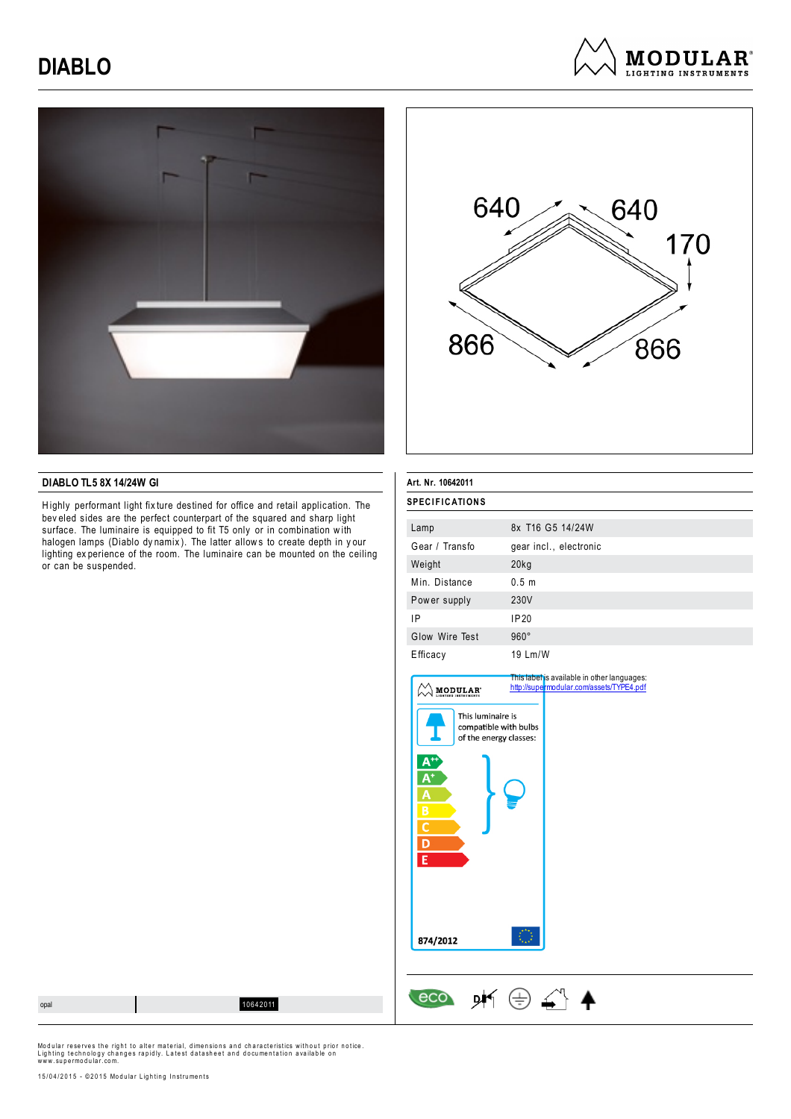# **DIABLO**







#### **DIABLO TL5 8X 14/24W GI**

Highly performant light fix ture destined for office and retail application. The bev eled sides are the perfect counterpart of the squared and sharp light surface. The luminaire is equipped to fit T5 only or in combination with halogen lamps (Diablo dy namix ). The latter allow s to create depth in y our lighting ex perience of the room. The luminaire can be mounted on the ceiling or can be suspended.

| Art. Nr. 10642011     |                        |
|-----------------------|------------------------|
| <b>SPECIFICATIONS</b> |                        |
| Lamp                  | 8x T16 G5 14/24W       |
| Gear / Transfo        | gear incl., electronic |
| Weight                | $20$ kg                |
| Min. Distance         | 0.5 <sub>m</sub>       |
| Power supply          | 230V                   |
| ΙP                    | IP20                   |
| Glow Wire Test        | $960^\circ$            |
| Efficacy              | $19$ Lm/W              |

| <b>MODULAR</b>                                                       | This label is available in other languages:<br>http://supermodular.com/assets/TYPE4.pdf |
|----------------------------------------------------------------------|-----------------------------------------------------------------------------------------|
| This luminaire is<br>compatible with bulbs<br>of the energy classes: |                                                                                         |
| Δ<br>E                                                               |                                                                                         |
| 874/2012                                                             |                                                                                         |

 $\leftarrow$  eco  $\cancel{p}$   $\leftarrow$   $\leftarrow$   $\leftarrow$   $\leftarrow$ 

opal 10642011

Modular reserves the right to alter material, dimensions and characteristics without prior notice.<br>Lighting technology changes rapidly. Latest datasheet and documentation available on<br>www.supermodular.com.